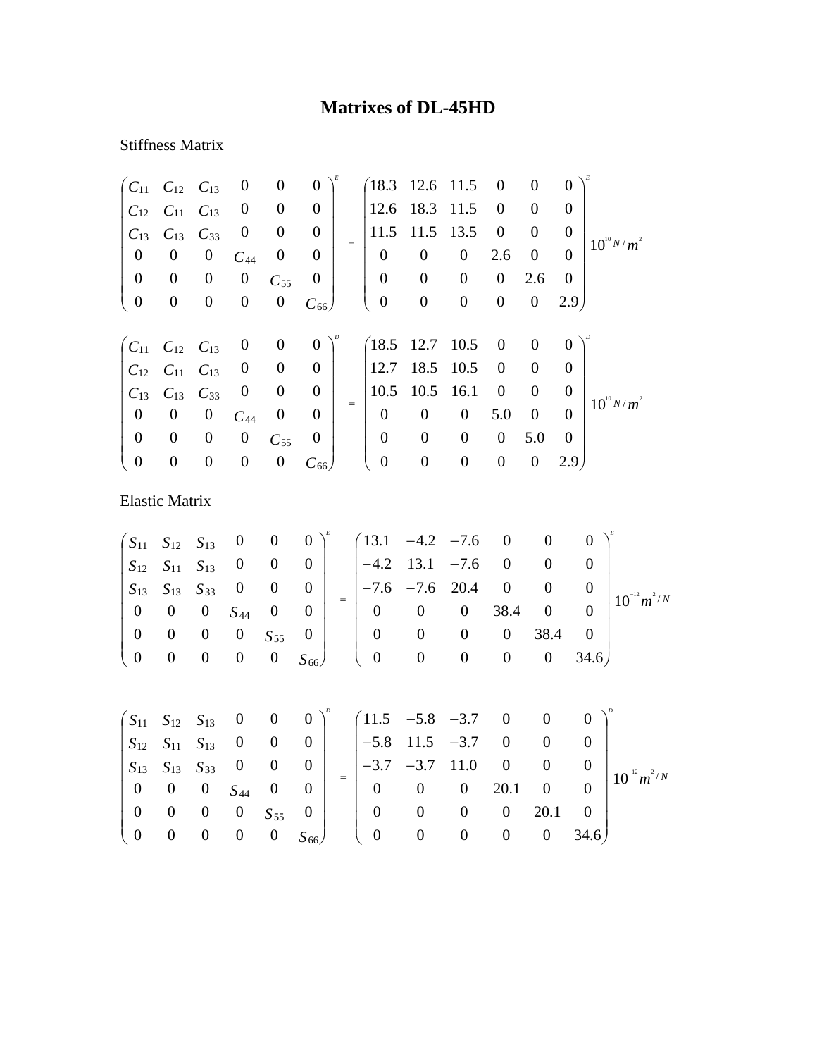## **Matrixes of DL-45HD**

## Stiffness Matrix

| $C_{11}$              | $C_{12}$ $C_{13}$                                        |                  | $\boldsymbol{0}$ | $\boldsymbol{0}$ | $\boldsymbol{0}$ |     | 18.3             | 12.6             | 11.5             | $\boldsymbol{0}$ | $\boldsymbol{0}$ | $\overline{0}$   |                 |
|-----------------------|----------------------------------------------------------|------------------|------------------|------------------|------------------|-----|------------------|------------------|------------------|------------------|------------------|------------------|-----------------|
| $C_{12}$              | $C_{11}$                                                 | $C_{13}$         | $\boldsymbol{0}$ | $\boldsymbol{0}$ | $\overline{0}$   |     | 12.6             | 18.3             | 11.5             | $\overline{0}$   | $\boldsymbol{0}$ | $\overline{0}$   |                 |
| $C_{13}$              | $C_{13}$                                                 | $C_{33}$         | $\boldsymbol{0}$ | $\boldsymbol{0}$ | $\overline{0}$   |     | 11.5             | 11.5             | 13.5             | $\boldsymbol{0}$ | $\boldsymbol{0}$ | $\boldsymbol{0}$ |                 |
| $\boldsymbol{0}$      | $\boldsymbol{0}$                                         | $\boldsymbol{0}$ | $C_{44}$         | $\boldsymbol{0}$ | $\boldsymbol{0}$ | $=$ | $\overline{0}$   | $\boldsymbol{0}$ | $\boldsymbol{0}$ | 2.6              | $\boldsymbol{0}$ | $\theta$         | $10^{10} N/m^2$ |
| $\boldsymbol{0}$      | $\boldsymbol{0}$                                         | $\boldsymbol{0}$ | $\boldsymbol{0}$ | $C_{55}$         | $\boldsymbol{0}$ |     | $\boldsymbol{0}$ | $\boldsymbol{0}$ | $\boldsymbol{0}$ | $\boldsymbol{0}$ | 2.6              | $\boldsymbol{0}$ |                 |
| $\boldsymbol{0}$      | $\boldsymbol{0}$                                         | $\boldsymbol{0}$ | $\boldsymbol{0}$ | $\boldsymbol{0}$ | $C_{66}$         |     | $\boldsymbol{0}$ | $\boldsymbol{0}$ | $\boldsymbol{0}$ | $\boldsymbol{0}$ | $\boldsymbol{0}$ | 2.9 <sub>1</sub> |                 |
|                       |                                                          |                  |                  |                  |                  |     |                  |                  |                  |                  |                  |                  |                 |
|                       | $\begin{pmatrix} C_{11} & C_{12} & C_{13} \end{pmatrix}$ |                  | $\boldsymbol{0}$ | $\boldsymbol{0}$ | $\boldsymbol{0}$ |     | (18.5)           | 12.7             | 10.5             | $\boldsymbol{0}$ | $\boldsymbol{0}$ | $\theta$         |                 |
| $C_{12}$              | $C_{11}$                                                 | $C_{13}$         | $\boldsymbol{0}$ | $\boldsymbol{0}$ | $\boldsymbol{0}$ |     | 12.7             | 18.5             | 10.5             | $\boldsymbol{0}$ | $\boldsymbol{0}$ | $\overline{0}$   |                 |
| $C_{13}$              | $C_{13}$                                                 | $C_{33}$         | $\boldsymbol{0}$ | $\boldsymbol{0}$ | $\boldsymbol{0}$ | $=$ | 10.5             | 10.5             | 16.1             | $\boldsymbol{0}$ | $\boldsymbol{0}$ | $\boldsymbol{0}$ | $10^{10} N/m^2$ |
| $\boldsymbol{0}$      | $\boldsymbol{0}$                                         | $\boldsymbol{0}$ | $C_{44}$         | $\boldsymbol{0}$ | $\theta$         |     | $\overline{0}$   | $\boldsymbol{0}$ | $\boldsymbol{0}$ | 5.0              | $\boldsymbol{0}$ | $\Omega$         |                 |
| $\boldsymbol{0}$      | $\boldsymbol{0}$                                         | $\boldsymbol{0}$ | $\boldsymbol{0}$ | $C_{55}$         | $\boldsymbol{0}$ |     | $\boldsymbol{0}$ | $\boldsymbol{0}$ | $\boldsymbol{0}$ | $\boldsymbol{0}$ | 5.0              | $\overline{0}$   |                 |
| $\boldsymbol{0}$      | $\boldsymbol{0}$                                         | $\boldsymbol{0}$ | $\boldsymbol{0}$ | $\boldsymbol{0}$ | $C_{66}$         |     | $\boldsymbol{0}$ | $\boldsymbol{0}$ | $\boldsymbol{0}$ | $\boldsymbol{0}$ | $\boldsymbol{0}$ | 2.9 <sub>1</sub> |                 |
| <b>Elastic Matrix</b> |                                                          |                  |                  |                  |                  |     |                  |                  |                  |                  |                  |                  |                 |
| $S_{11}$              | $S_{12}$                                                 | $S_{13}$         | $\boldsymbol{0}$ | $\boldsymbol{0}$ | $\overline{0}$   |     | 13.1             | $-4.2$           | $-7.6$           | $\boldsymbol{0}$ | $\boldsymbol{0}$ |                  | $\theta$        |

|  |  |  |  | $S_{12}$ $S_{11}$ $S_{13}$ 0 0 0 $-4.2$ 13.1 $-7.6$ 0 0 0 $\vert$                                                                                                         |  |  |                                                                                                                                                                                                              |
|--|--|--|--|---------------------------------------------------------------------------------------------------------------------------------------------------------------------------|--|--|--------------------------------------------------------------------------------------------------------------------------------------------------------------------------------------------------------------|
|  |  |  |  |                                                                                                                                                                           |  |  |                                                                                                                                                                                                              |
|  |  |  |  |                                                                                                                                                                           |  |  | $\begin{vmatrix} S_{13} & S_{13} & S_{33} & 0 & 0 & 0 \ 0 & 0 & 0 & S_{44} & 0 & 0 \end{vmatrix} = \begin{vmatrix} -7.6 & -7.6 & 20.4 & 0 & 0 & 0 \ 0 & 0 & 0 & 38.4 & 0 & 0 \end{vmatrix} 10^{-12} m^{2/N}$ |
|  |  |  |  |                                                                                                                                                                           |  |  |                                                                                                                                                                                                              |
|  |  |  |  | $\begin{bmatrix} 0 & 0 & 0 & 0 & S_{55} & 0 \\ 0 & 0 & 0 & 0 & 0 & S_{66} \end{bmatrix}$ $\begin{bmatrix} 0 & 0 & 0 & 0 & 38.4 & 0 \\ 0 & 0 & 0 & 0 & 34.6 \end{bmatrix}$ |  |  |                                                                                                                                                                                                              |
|  |  |  |  |                                                                                                                                                                           |  |  |                                                                                                                                                                                                              |

|                      |  |                                   |  | $\begin{pmatrix} S_{11} & S_{12} & S_{13} & 0 & 0 & 0 \end{pmatrix}^p$ $\begin{pmatrix} 11.5 & -5.8 & -3.7 & 0 & 0 & 0 \end{pmatrix}^p$ |              |   |                                        |          |                  |
|----------------------|--|-----------------------------------|--|-----------------------------------------------------------------------------------------------------------------------------------------|--------------|---|----------------------------------------|----------|------------------|
|                      |  |                                   |  | $\begin{array}{ c c c c c c c c c } \hline S_{12} & S_{11} & S_{13} & 0 & 0 & 0 & -5.8 & 11.5 & -3.7 & 0 \ \hline \end{array}$          |              |   | $\begin{array}{ccc} & & 0 \end{array}$ |          |                  |
|                      |  |                                   |  | $\begin{vmatrix} S_{13} & S_{13} & S_{33} & 0 & 0 & 0 \end{vmatrix}$ $\begin{vmatrix} -3.7 & -3.7 & 11.0 & 0 \end{vmatrix}$             |              |   | $\overline{0}$                         |          | $10^{-12} m^2/N$ |
|                      |  | $0 \t 0 \t 0 \t S_{44} \t 0 \t 0$ |  | $\begin{bmatrix} 0 & 0 & 0 & 20.1 & 0 \end{bmatrix}$                                                                                    |              |   |                                        |          |                  |
| $0$ 0 0 0            |  | $S_{55}$ 0                        |  | $0\qquad 0$                                                                                                                             |              | 0 | 20.1                                   |          |                  |
| $(0 \t 0 \t 0 \t 0)$ |  |                                   |  | $0 S_{66}$ ( 0 0                                                                                                                        | $\mathbf{0}$ |   |                                        | 0 $34.6$ |                  |